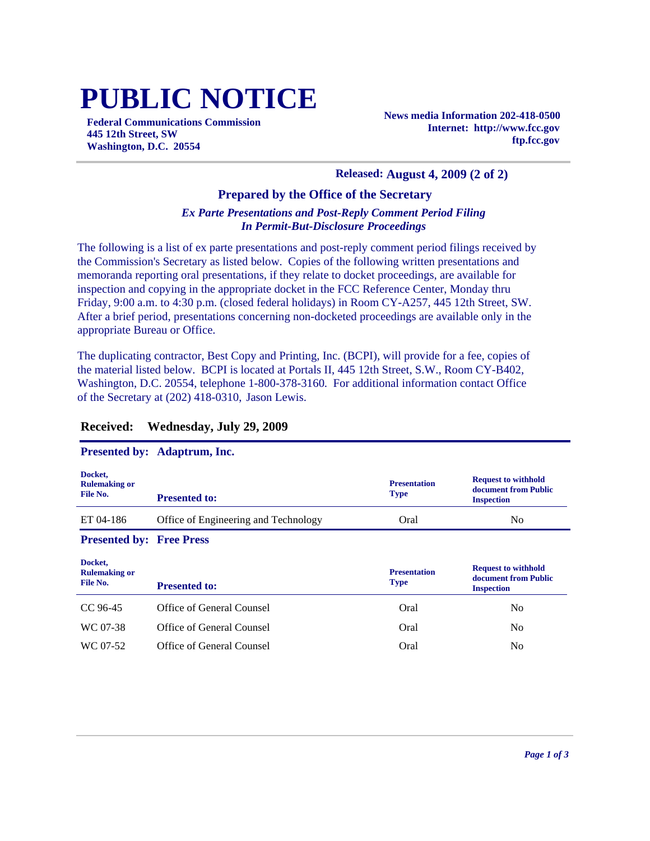# **PUBLIC NOTICE**

**Federal Communications Commission 445 12th Street, SW Washington, D.C. 20554**

**News media Information 202-418-0500 Internet: http://www.fcc.gov ftp.fcc.gov**

#### **Released: August 4, 2009 (2 of 2)**

#### **Prepared by the Office of the Secretary**

#### *Ex Parte Presentations and Post-Reply Comment Period Filing In Permit-But-Disclosure Proceedings*

The following is a list of ex parte presentations and post-reply comment period filings received by the Commission's Secretary as listed below. Copies of the following written presentations and memoranda reporting oral presentations, if they relate to docket proceedings, are available for inspection and copying in the appropriate docket in the FCC Reference Center, Monday thru Friday, 9:00 a.m. to 4:30 p.m. (closed federal holidays) in Room CY-A257, 445 12th Street, SW. After a brief period, presentations concerning non-docketed proceedings are available only in the appropriate Bureau or Office.

The duplicating contractor, Best Copy and Printing, Inc. (BCPI), will provide for a fee, copies of the material listed below. BCPI is located at Portals II, 445 12th Street, S.W., Room CY-B402, Washington, D.C. 20554, telephone 1-800-378-3160. For additional information contact Office of the Secretary at (202) 418-0310, Jason Lewis.

|                                             | <b>Presented by: Adaptrum, Inc.</b>  |                                    |                                                                         |
|---------------------------------------------|--------------------------------------|------------------------------------|-------------------------------------------------------------------------|
| Docket,<br><b>Rulemaking or</b><br>File No. | <b>Presented to:</b>                 | <b>Presentation</b><br><b>Type</b> | <b>Request to withhold</b><br>document from Public<br><b>Inspection</b> |
| ET 04-186                                   | Office of Engineering and Technology | Oral                               | N <sub>0</sub>                                                          |
| <b>Presented by: Free Press</b>             |                                      |                                    |                                                                         |
|                                             |                                      |                                    |                                                                         |
| Docket,<br><b>Rulemaking or</b><br>File No. | <b>Presented to:</b>                 | <b>Presentation</b><br>Type        | <b>Request to withhold</b><br>document from Public<br><b>Inspection</b> |
| CC 96-45                                    | Office of General Counsel            | Oral                               | N <sub>0</sub>                                                          |
| WC 07-38                                    | Office of General Counsel            | Oral                               | N <sub>0</sub>                                                          |

#### **Received: Wednesday, July 29, 2009**

#### **Presented by: Adaptrum, Inc.**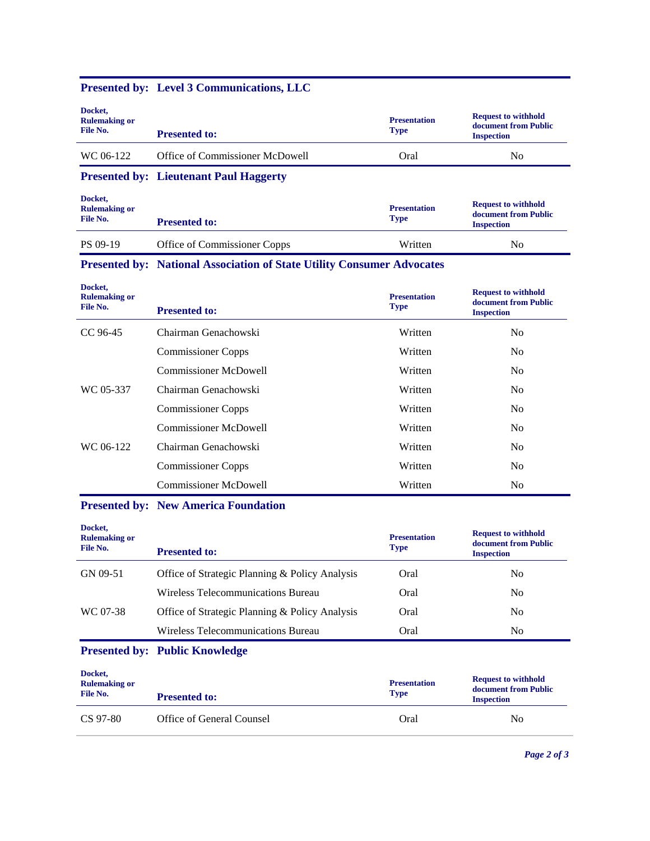## **Presented by: Level 3 Communications, LLC**

| Docket,<br><b>Rulemaking or</b><br>File No. | <b>Presented to:</b>            | <b>Presentation</b><br><b>Type</b> | <b>Request to withhold</b><br>document from Public<br><b>Inspection</b> |
|---------------------------------------------|---------------------------------|------------------------------------|-------------------------------------------------------------------------|
| WC 06-122                                   | Office of Commissioner McDowell | Oral                               | No                                                                      |

### **Presented by: Lieutenant Paul Haggerty**

| Docket,<br><b>Rulemaking or</b><br>File No. | <b>Presented to:</b>         | <b>Presentation</b><br><b>Type</b> | <b>Request to withhold</b><br>document from Public<br><b>Inspection</b> |
|---------------------------------------------|------------------------------|------------------------------------|-------------------------------------------------------------------------|
| PS 09-19                                    | Office of Commissioner Copps | Written                            | No                                                                      |

## **Presented by: National Association of State Utility Consumer Advocates**

| Docket,<br><b>Rulemaking or</b><br>File No. | <b>Presented to:</b>         | <b>Presentation</b><br><b>Type</b> | <b>Request to withhold</b><br>document from Public<br><b>Inspection</b> |
|---------------------------------------------|------------------------------|------------------------------------|-------------------------------------------------------------------------|
| CC 96-45                                    | Chairman Genachowski         | Written                            | N <sub>0</sub>                                                          |
|                                             | <b>Commissioner Copps</b>    | Written                            | N <sub>0</sub>                                                          |
|                                             | Commissioner McDowell        | Written                            | N <sub>0</sub>                                                          |
| WC 05-337                                   | Chairman Genachowski         | Written                            | N <sub>0</sub>                                                          |
|                                             | <b>Commissioner Copps</b>    | Written                            | N <sub>0</sub>                                                          |
|                                             | <b>Commissioner McDowell</b> | Written                            | N <sub>0</sub>                                                          |
| WC 06-122                                   | Chairman Genachowski         | Written                            | N <sub>0</sub>                                                          |
|                                             | <b>Commissioner Copps</b>    | Written                            | N <sub>0</sub>                                                          |
|                                             | <b>Commissioner McDowell</b> | Written                            | N <sub>0</sub>                                                          |

## **Presented by: New America Foundation**

| Docket,<br><b>Rulemaking or</b><br>File No. | <b>Presented to:</b>                           | <b>Presentation</b><br><b>Type</b> | <b>Request to withhold</b><br>document from Public<br><b>Inspection</b> |
|---------------------------------------------|------------------------------------------------|------------------------------------|-------------------------------------------------------------------------|
| GN 09-51                                    | Office of Strategic Planning & Policy Analysis | Oral                               | No.                                                                     |
|                                             | Wireless Telecommunications Bureau             | Oral                               | N <sub>0</sub>                                                          |
| WC 07-38                                    | Office of Strategic Planning & Policy Analysis | Oral                               | N <sub>0</sub>                                                          |
|                                             | Wireless Telecommunications Bureau             | Oral                               | No.                                                                     |
|                                             | <b>Presented by: Public Knowledge</b>          |                                    |                                                                         |

| Docket,<br><b>Rulemaking or</b><br>File No. | <b>Presented to:</b>      | <b>Presentation</b><br><b>Type</b> | <b>Request to withhold</b><br>document from Public<br><b>Inspection</b> |
|---------------------------------------------|---------------------------|------------------------------------|-------------------------------------------------------------------------|
| CS 97-80                                    | Office of General Counsel | Oral                               | No                                                                      |